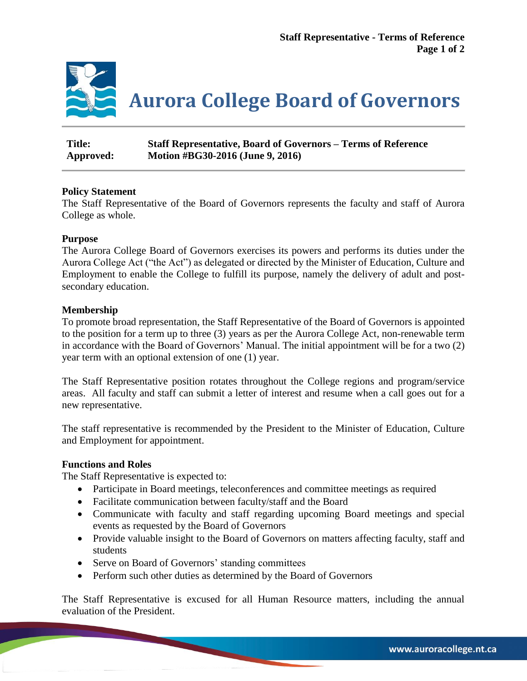

| <b>Title:</b> | <b>Staff Representative, Board of Governors – Terms of Reference</b> |
|---------------|----------------------------------------------------------------------|
| Approved:     | Motion #BG30-2016 (June 9, 2016)                                     |

## **Policy Statement**

The Staff Representative of the Board of Governors represents the faculty and staff of Aurora College as whole.

## **Purpose**

The Aurora College Board of Governors exercises its powers and performs its duties under the Aurora College Act ("the Act") as delegated or directed by the Minister of Education, Culture and Employment to enable the College to fulfill its purpose, namely the delivery of adult and postsecondary education.

## **Membership**

To promote broad representation, the Staff Representative of the Board of Governors is appointed to the position for a term up to three (3) years as per the Aurora College Act, non-renewable term in accordance with the Board of Governors' Manual. The initial appointment will be for a two (2) year term with an optional extension of one (1) year.

The Staff Representative position rotates throughout the College regions and program/service areas. All faculty and staff can submit a letter of interest and resume when a call goes out for a new representative.

The staff representative is recommended by the President to the Minister of Education, Culture and Employment for appointment.

### **Functions and Roles**

The Staff Representative is expected to:

- Participate in Board meetings, teleconferences and committee meetings as required
- Facilitate communication between faculty/staff and the Board
- Communicate with faculty and staff regarding upcoming Board meetings and special events as requested by the Board of Governors
- Provide valuable insight to the Board of Governors on matters affecting faculty, staff and students
- Serve on Board of Governors' standing committees
- Perform such other duties as determined by the Board of Governors

The Staff Representative is excused for all Human Resource matters, including the annual evaluation of the President.